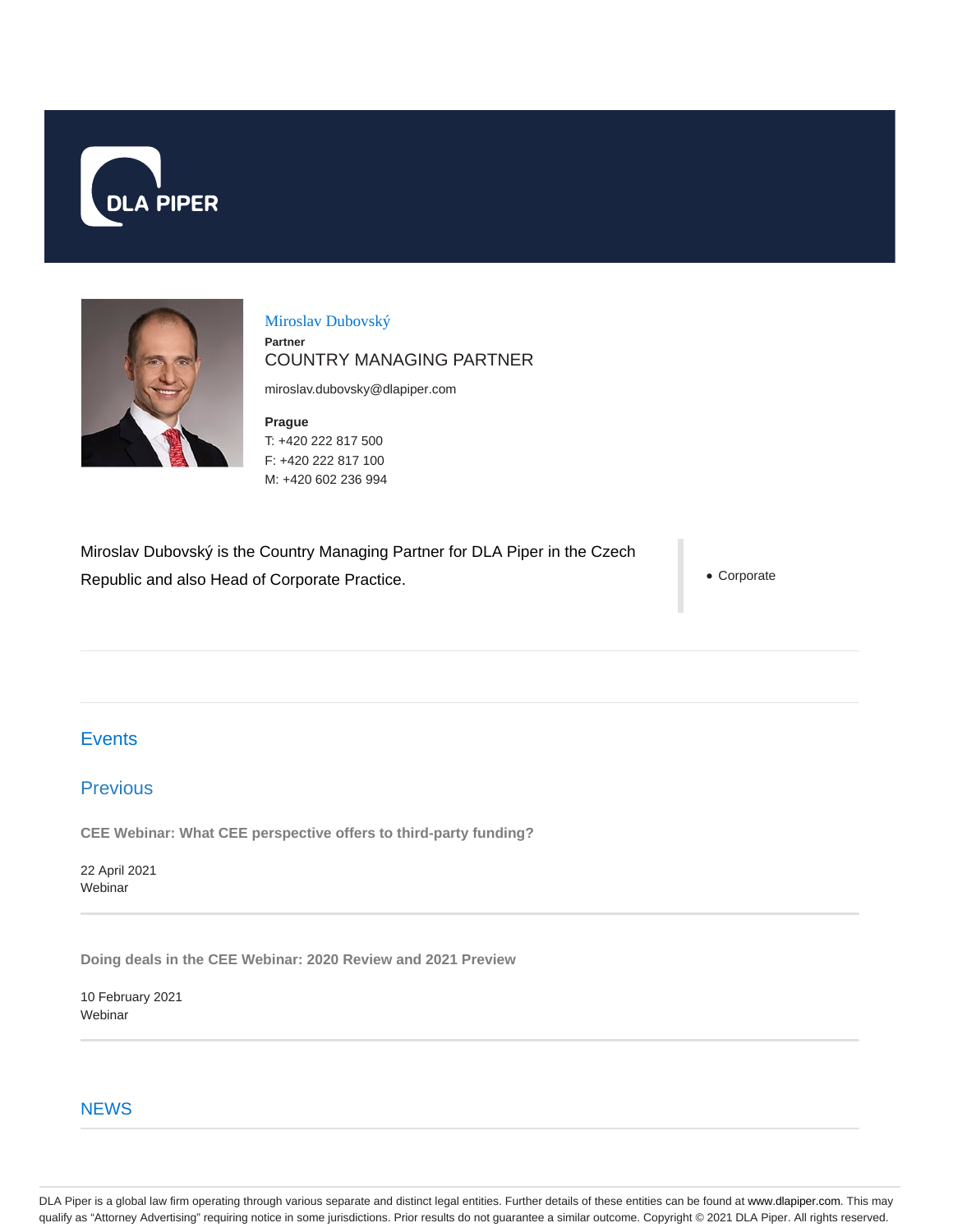



Miroslav Dubovský **Partner** COUNTRY MANAGING PARTNER

miroslav.dubovsky@dlapiper.com

**Prague** T: +420 222 817 500 F: +420 222 817 100 M: +420 602 236 994

Miroslav Dubovský is the Country Managing Partner for DLA Piper in the Czech Republic and also Head of Corporate Practice.

Corporate

# **Events**

## Previous

**CEE Webinar: What CEE perspective offers to third-party funding?**

22 April 2021 **Webinar** 

**Doing deals in the CEE Webinar: 2020 Review and 2021 Preview**

10 February 2021 **Webinar** 

### **NEWS**

DLA Piper is a global law firm operating through various separate and distinct legal entities. Further details of these entities can be found at www.dlapiper.com. This may qualify as "Attorney Advertising" requiring notice in some jurisdictions. Prior results do not guarantee a similar outcome. Copyright © 2021 DLA Piper. All rights reserved.